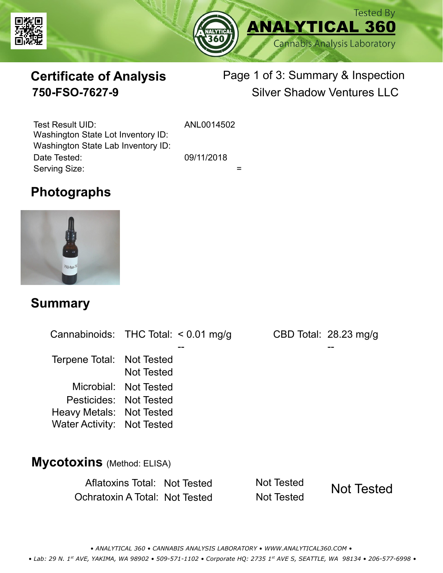



# **Certificate of Analysis**

# Page 1 of 3: Summary & Inspection **750-FSO-7627-9** Silver Shadow Ventures LLC

Serving Size:  $=$ Test Result UID: ANL0014502 Date Tested: 09/11/2018 Washington State Lot Inventory ID: Washington State Lab Inventory ID:

# **Photographs**



#### **Summary**

Cannabinoids: THC Total:  $< 0.01$  mg/g Terpene Total: Not Tested Microbial: Not Tested CBD Total: 28.23 mg/g Pesticides: Not Tested Heavy Metals: Not Tested -- -- Not Tested Water Activity: Not Tested

#### **Mycotoxins** (Method: ELISA)

Aflatoxins Total: Not Tested Not Tested Ochratoxin A Total: Not Tested Not Tested

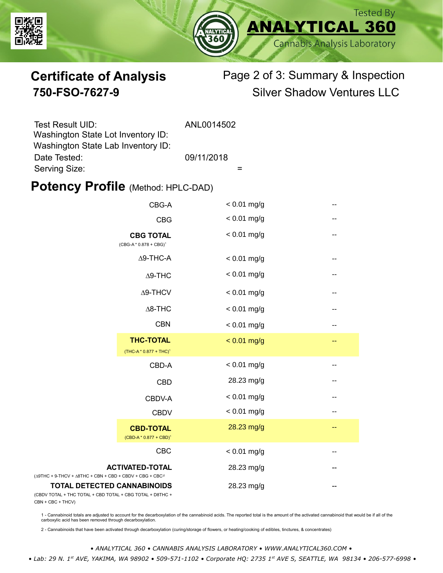



# **Certificate of Analysis** Page 2 of 3: Summary & Inspection **750-FSO-7627-9** Silver Shadow Ventures LLC

| Test Result UID:                   | ANL0014502 |
|------------------------------------|------------|
| Washington State Lot Inventory ID: |            |
| Washington State Lab Inventory ID: |            |
| Date Tested:                       | 09/11/2018 |
| Serving Size:                      |            |

### **Potency Profile (Method: HPLC-DAD)**

|                                                                                            | CBG-A                                                  | $< 0.01$ mg/g |    |
|--------------------------------------------------------------------------------------------|--------------------------------------------------------|---------------|----|
|                                                                                            | <b>CBG</b>                                             | $< 0.01$ mg/g | -- |
| <b>CBG TOTAL</b><br>(CBG-A*0.878 + CBG) <sup>1</sup><br>$\Delta$ 9-THC-A<br>$\Delta$ 9-THC |                                                        | $< 0.01$ mg/g | -- |
|                                                                                            |                                                        | $< 0.01$ mg/g | -- |
|                                                                                            |                                                        | $< 0.01$ mg/g | -- |
|                                                                                            | $\Delta$ 9-THCV                                        | $< 0.01$ mg/g | -- |
|                                                                                            | $\Delta$ 8-THC                                         | $< 0.01$ mg/g | -- |
|                                                                                            | <b>CBN</b>                                             | $< 0.01$ mg/g | -- |
|                                                                                            | <b>THC-TOTAL</b><br>(THC-A * 0.877 + THC) <sup>1</sup> | $< 0.01$ mg/g | -- |
|                                                                                            | CBD-A                                                  | $< 0.01$ mg/g | -- |
|                                                                                            | <b>CBD</b>                                             | 28.23 mg/g    | -- |
|                                                                                            | CBDV-A                                                 | $< 0.01$ mg/g | -- |
|                                                                                            | <b>CBDV</b>                                            | $< 0.01$ mg/g |    |
|                                                                                            | <b>CBD-TOTAL</b><br>$(CBD-A * 0.877 + CBD)^1$          | 28.23 mg/g    | -- |
|                                                                                            | CBC                                                    | $< 0.01$ mg/g |    |
| $+9$ -THCV + $\triangle$ 8THC + CBN + CBD + CBDV + CBG + CBC <sup><math>/2</math></sup>    | <b>ACTIVATED-TOTAL</b>                                 | 28.23 mg/g    |    |
| <b>TOTAL DETECTED CANNABINOIDS</b><br>TOTAL + THC TOTAL + CBD TOTAL + CBG TOTAL + D8THC +  |                                                        | 28.23 mg/g    |    |

(CBDV TOTAL + THC TOTAL CBN + CBC + THCV)

(∆9THC + 9-THCV + ∆8THC

1 - Cannabinoid totals are adjusted to account for the decarboxylation of the cannabinoid acids. The reported total is the amount of the activated cannabinoid that would be if all of the<br>carboxylic acid has been removed th

2 - Cannabinoids that have been activated through decarboxylation (curing/storage of flowers, or heating/cooking of edibles, tinctures, & concentrates)

*• ANALYTICAL 360 • CANNABIS ANALYSIS LABORATORY • WWW.ANALYTICAL360.COM •*

 *• Lab: 29 N. 1st AVE, YAKIMA, WA 98902 • 509-571-1102 • Corporate HQ: 2735 1st AVE S, SEATTLE, WA 98134 • 206-577-6998 •*